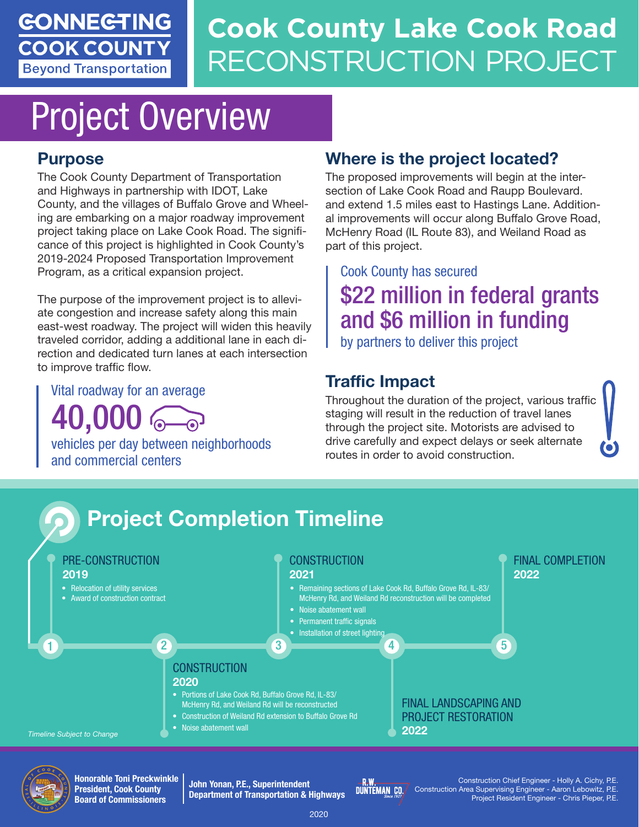#### **GONNEGTING COOK COUNTY Beyond Transportation**

# **Cook County Lake Cook Road** RECONSTRUCTION PROJECT

# Project Overview

#### Purpose

The Cook County Department of Transportation and Highways in partnership with IDOT, Lake County, and the villages of Buffalo Grove and Wheeling are embarking on a major roadway improvement project taking place on Lake Cook Road. The significance of this project is highlighted in Cook County's 2019-2024 Proposed Transportation Improvement Program, as a critical expansion project.

The purpose of the improvement project is to alleviate congestion and increase safety along this main east-west roadway. The project will widen this heavily traveled corridor, adding a additional lane in each direction and dedicated turn lanes at each intersection to improve traffic flow.

Vital roadway for an average

40,000

vehicles per day between neighborhoods and commercial centers

#### Where is the project located?

The proposed improvements will begin at the intersection of Lake Cook Road and Raupp Boulevard. and extend 1.5 miles east to Hastings Lane. Additional improvements will occur along Buffalo Grove Road, McHenry Road (IL Route 83), and Weiland Road as part of this project.

### Cook County has secured \$22 million in federal grants and \$6 million in funding

by partners to deliver this project

#### Traffic Impact

Throughout the duration of the project, various traffic staging will result in the reduction of travel lanes through the project site. Motorists are advised to drive carefully and expect delays or seek alternate routes in order to avoid construction.





Honorable Toni Preckwinkle President, Cook County Board of Commissioners

John Yonan, P.E., Superintendent Department of Transportation & Highways



Construction Chief Engineer - Holly A. Cichy, P.E. Construction Area Supervising Engineer - Aaron Lebowitz, P.E. Project Resident Engineer - Chris Pieper, P.E.